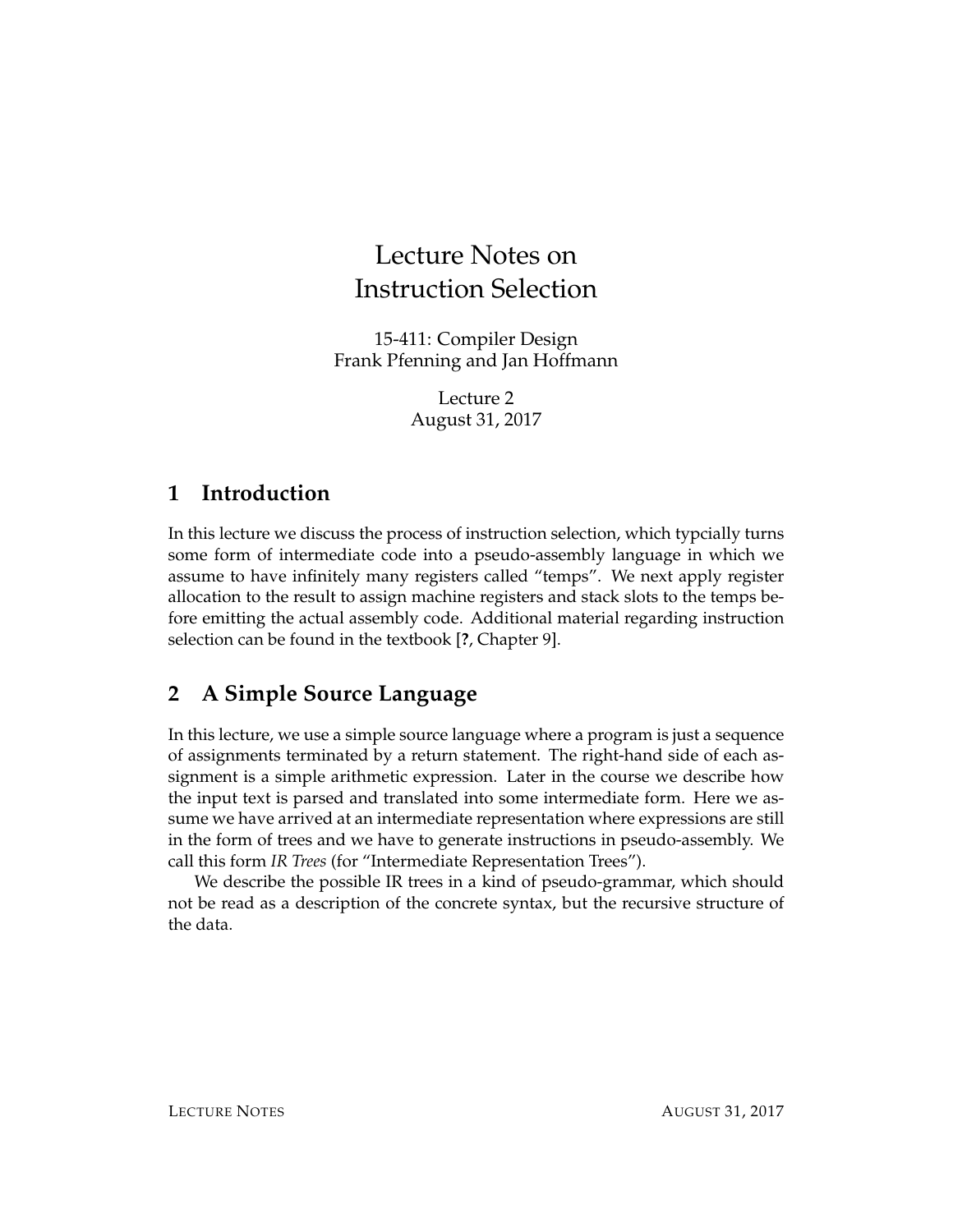# Lecture Notes on Instruction Selection

15-411: Compiler Design Frank Pfenning and Jan Hoffmann

> Lecture 2 August 31, 2017

### **1 Introduction**

In this lecture we discuss the process of instruction selection, which typcially turns some form of intermediate code into a pseudo-assembly language in which we assume to have infinitely many registers called "temps". We next apply register allocation to the result to assign machine registers and stack slots to the temps before emitting the actual assembly code. Additional material regarding instruction selection can be found in the textbook [**?**, Chapter 9].

## **2 A Simple Source Language**

In this lecture, we use a simple source language where a program is just a sequence of assignments terminated by a return statement. The right-hand side of each assignment is a simple arithmetic expression. Later in the course we describe how the input text is parsed and translated into some intermediate form. Here we assume we have arrived at an intermediate representation where expressions are still in the form of trees and we have to generate instructions in pseudo-assembly. We call this form *IR Trees* (for "Intermediate Representation Trees").

We describe the possible IR trees in a kind of pseudo-grammar, which should not be read as a description of the concrete syntax, but the recursive structure of the data.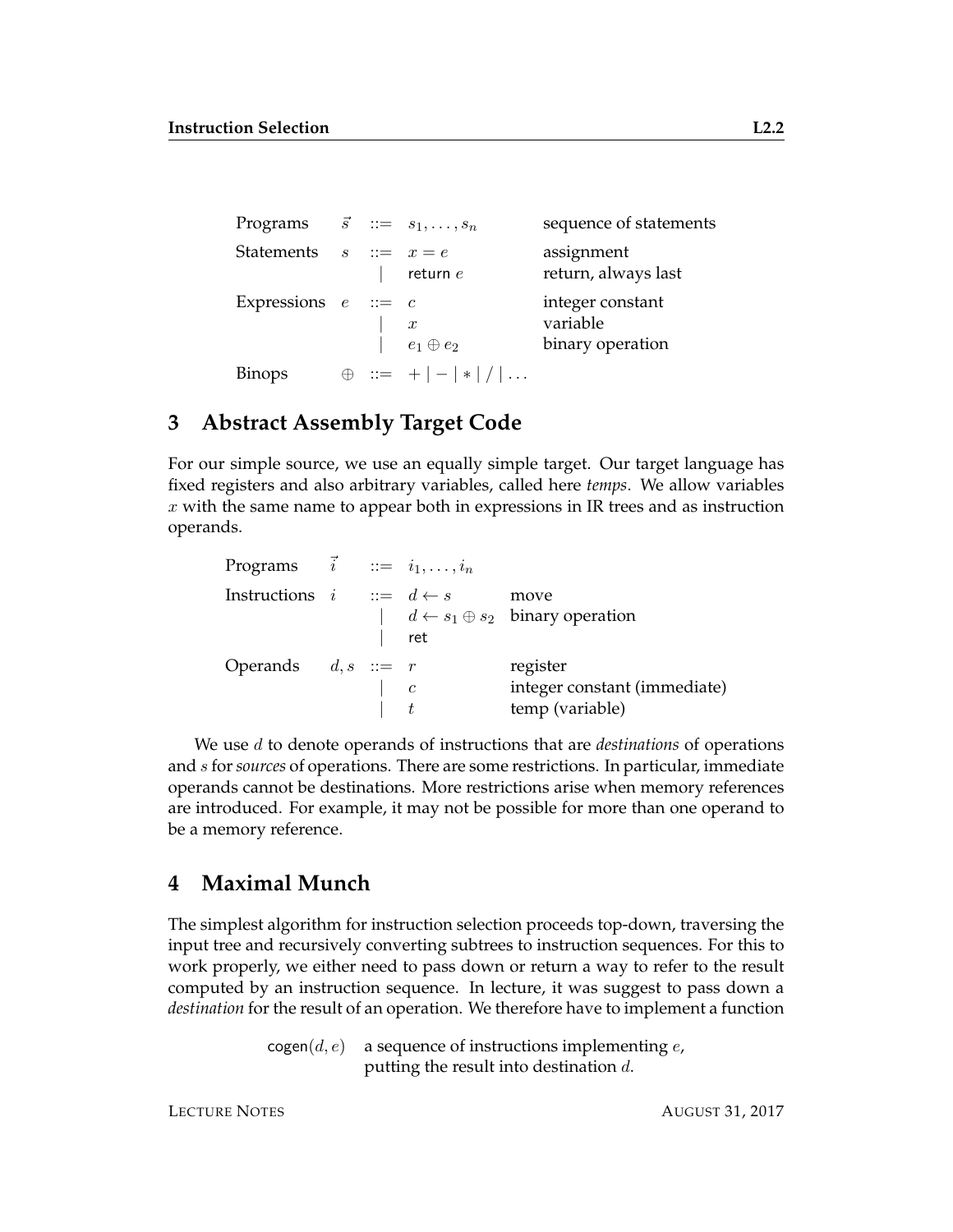| Programs $\vec{s}$ ::= $s_1, \ldots, s_n$ |  |                                     | sequence of statements                           |
|-------------------------------------------|--|-------------------------------------|--------------------------------------------------|
| Statements $s ::= x = e$                  |  | return $e$                          | assignment<br>return, always last                |
| Expressions $e ::= c$                     |  | $\boldsymbol{x}$<br>$e_1\oplus e_2$ | integer constant<br>variable<br>binary operation |
| Binops                                    |  | $\oplus$ ::= + - * /                |                                                  |

#### **3 Abstract Assembly Target Code**

For our simple source, we use an equally simple target. Our target language has fixed registers and also arbitrary variables, called here *temps*. We allow variables  $x$  with the same name to appear both in expressions in IR trees and as instruction operands.

| Programs $\vec{i}$ ::= $i_1, \ldots, i_n$ |                                            |     |                                                              |
|-------------------------------------------|--------------------------------------------|-----|--------------------------------------------------------------|
| Instructions $i$ : $d \leftarrow s$       |                                            | ret | move<br>$\vert d \leftarrow s_1 \oplus s_2$ binary operation |
| Operands $d, s ::= r$                     | $\begin{array}{ccc} \cdot & c \end{array}$ |     | register<br>integer constant (immediate)<br>temp (variable)  |

We use d to denote operands of instructions that are *destinations* of operations and s for*sources* of operations. There are some restrictions. In particular, immediate operands cannot be destinations. More restrictions arise when memory references are introduced. For example, it may not be possible for more than one operand to be a memory reference.

#### **4 Maximal Munch**

The simplest algorithm for instruction selection proceeds top-down, traversing the input tree and recursively converting subtrees to instruction sequences. For this to work properly, we either need to pass down or return a way to refer to the result computed by an instruction sequence. In lecture, it was suggest to pass down a *destination* for the result of an operation. We therefore have to implement a function

> $cogen(d, e)$  a sequence of instructions implementing e, putting the result into destination d.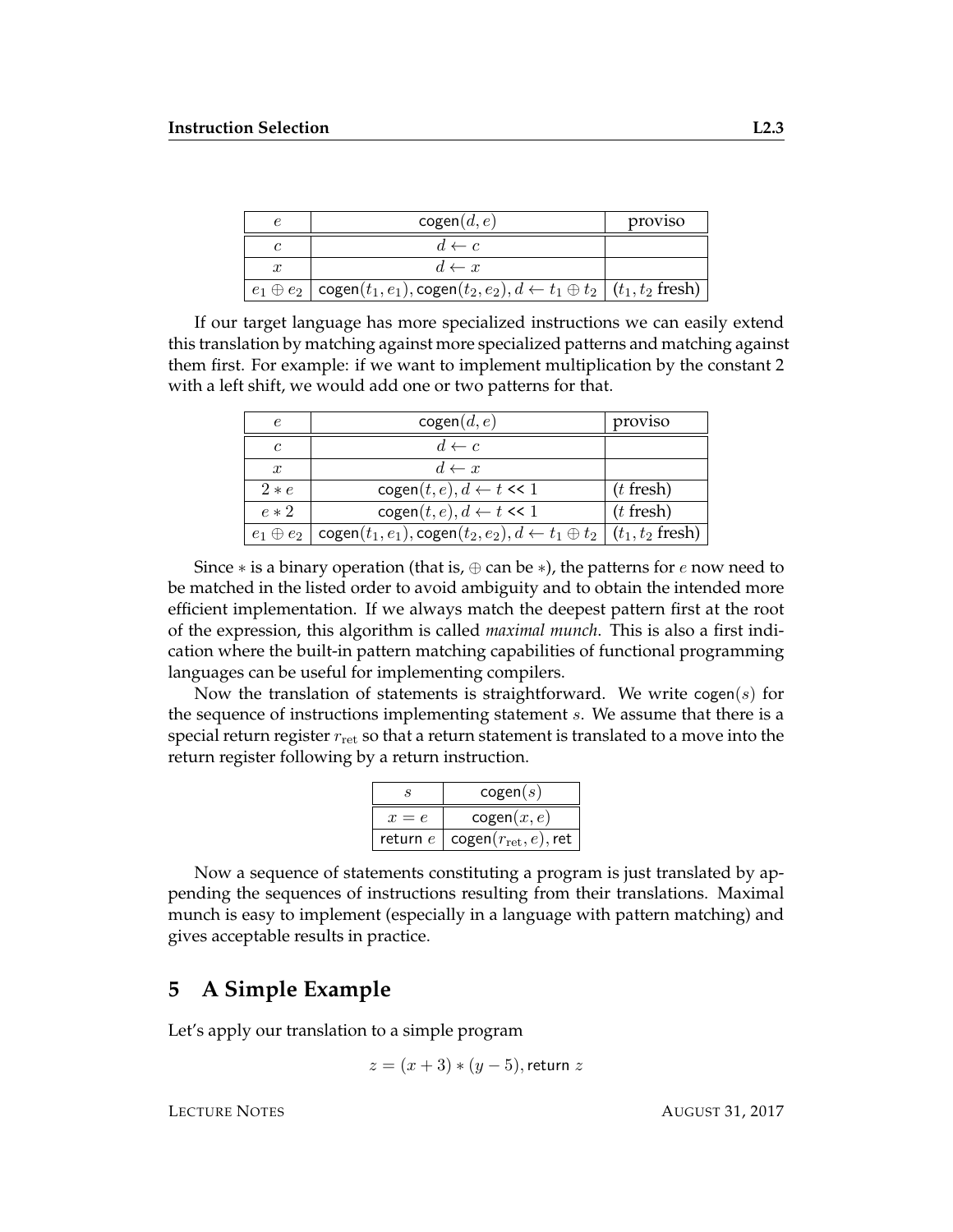|                  | cogen(d, e)                                                                                                                     | proviso |
|------------------|---------------------------------------------------------------------------------------------------------------------------------|---------|
|                  | $d \leftarrow c$                                                                                                                |         |
| $\boldsymbol{x}$ | $d \leftarrow x$                                                                                                                |         |
|                  | $e_1 \oplus e_2 \mid \text{cogen}(t_1, e_1), \text{cogen}(t_2, e_2), d \leftarrow t_1 \oplus t_2 \mid (t_1, t_2 \text{ fresh})$ |         |

If our target language has more specialized instructions we can easily extend this translation by matching against more specialized patterns and matching against them first. For example: if we want to implement multiplication by the constant 2 with a left shift, we would add one or two patterns for that.

| $\epsilon$       | cogen(d, e)                                                                                           | proviso     |
|------------------|-------------------------------------------------------------------------------------------------------|-------------|
| $\mathfrak c$    | $d \leftarrow c$                                                                                      |             |
| $\boldsymbol{x}$ | $d \leftarrow x$                                                                                      |             |
| $2*e$            | $cogen(t, e), d \leftarrow t \ll 1$                                                                   | $(t$ fresh) |
| $e * 2$          | $cogen(t, e), d \leftarrow t \ll 1$                                                                   | $(t$ fresh) |
| $e_1 \oplus e_2$ | cogen $(t_1, e_1)$ , cogen $(t_2, e_2)$ , $d \leftarrow t_1 \oplus t_2 \mid (t_1, t_2 \text{ fresh})$ |             |

Since  $*$  is a binary operation (that is,  $\oplus$  can be  $*$ ), the patterns for e now need to be matched in the listed order to avoid ambiguity and to obtain the intended more efficient implementation. If we always match the deepest pattern first at the root of the expression, this algorithm is called *maximal munch*. This is also a first indication where the built-in pattern matching capabilities of functional programming languages can be useful for implementing compilers.

Now the translation of statements is straightforward. We write  $cogen(s)$  for the sequence of instructions implementing statement s. We assume that there is a special return register  $r_{\text{ret}}$  so that a return statement is translated to a move into the return register following by a return instruction.

| S     | cogen(s)                                              |  |
|-------|-------------------------------------------------------|--|
| $x=e$ | cogen(x, e)                                           |  |
|       | return $e \mid \text{cogen}(r_{\text{ret}}, e)$ , ret |  |

Now a sequence of statements constituting a program is just translated by appending the sequences of instructions resulting from their translations. Maximal munch is easy to implement (especially in a language with pattern matching) and gives acceptable results in practice.

#### **5 A Simple Example**

Let's apply our translation to a simple program

$$
z = (x + 3) * (y - 5)
$$
, return z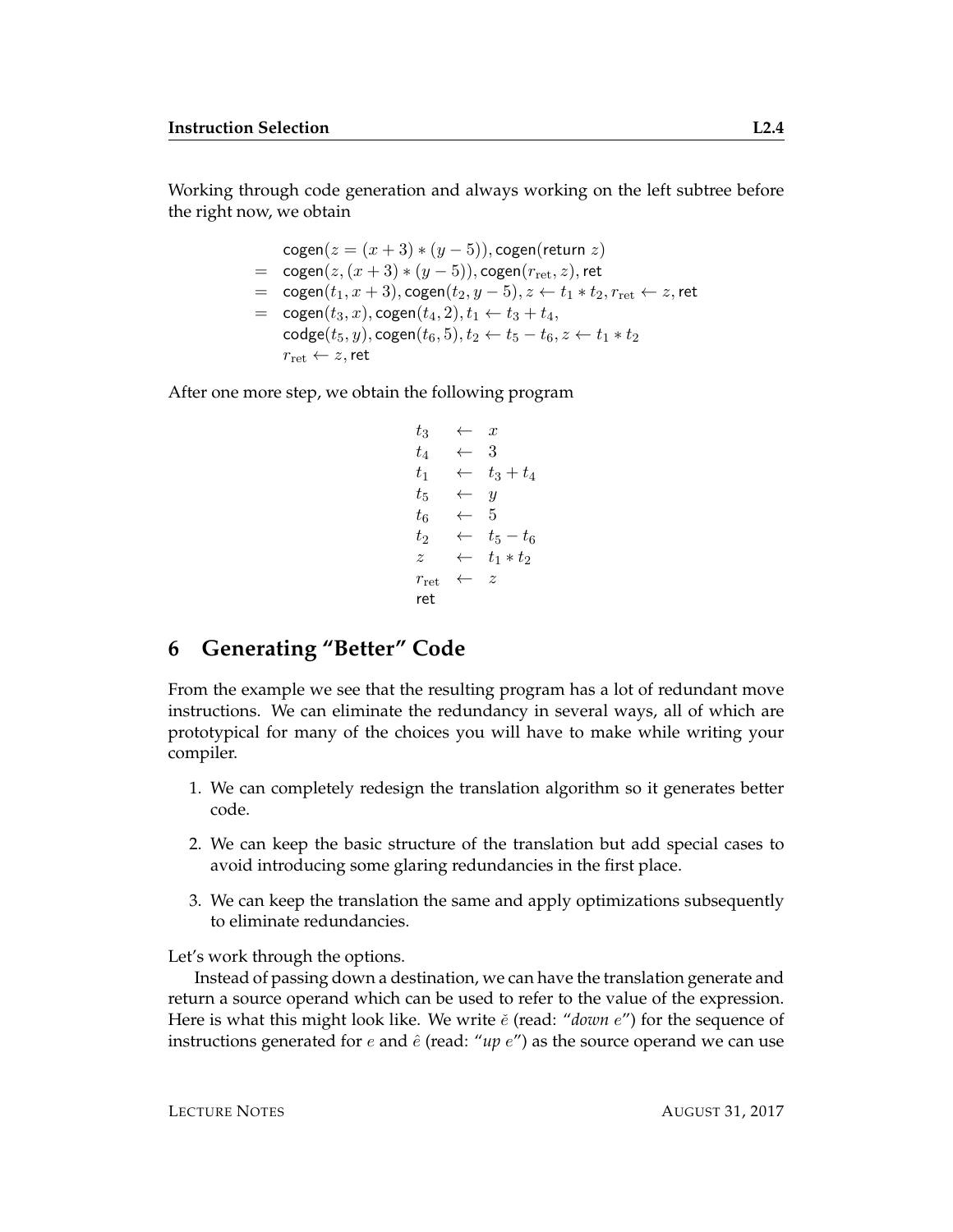Working through code generation and always working on the left subtree before the right now, we obtain

> cogen $(z = (x+3)*(y-5))$ , cogen(return z)  $=$  cogen $(z,(x+3)*(y-5))$ , cogen $(r_{\rm ret},z)$ , ret  $=$  cogen $(t_1, x+3)$ , cogen $(t_2, y-5)$ ,  $z \leftarrow t_1 * t_2$ ,  $r_{\text{ret}} \leftarrow z$ , ret  $= \text{cogen}(t_3, x), \text{cogen}(t_4, 2), t_1 \leftarrow t_3 + t_4,$  $\text{code}(t_5, y), \text{cogen}(t_6, 5), t_2 \leftarrow t_5 - t_6, z \leftarrow t_1 * t_2$  $r_{\rm ret} \leftarrow z$ , ret

After one more step, we obtain the following program

 $t_3 \leftarrow x$  $t_4 \leftrightarrow 3$  $t_1 \leftarrow t_3 + t_4$  $t_5 \leftarrow y$  $t_6 \leftarrow 5$  $t_2 \leftarrow t_5 - t_6$  $z \leftarrow t_1 * t_2$  $r_{\rm ret} \leftarrow z$ ret

#### **6 Generating "Better" Code**

From the example we see that the resulting program has a lot of redundant move instructions. We can eliminate the redundancy in several ways, all of which are prototypical for many of the choices you will have to make while writing your compiler.

- 1. We can completely redesign the translation algorithm so it generates better code.
- 2. We can keep the basic structure of the translation but add special cases to avoid introducing some glaring redundancies in the first place.
- 3. We can keep the translation the same and apply optimizations subsequently to eliminate redundancies.

Let's work through the options.

Instead of passing down a destination, we can have the translation generate and return a source operand which can be used to refer to the value of the expression. Here is what this might look like. We write  $\check{e}$  (read: "*down*  $e$ ") for the sequence of instructions generated for  $e$  and  $\hat{e}$  (read: "up  $e$ ") as the source operand we can use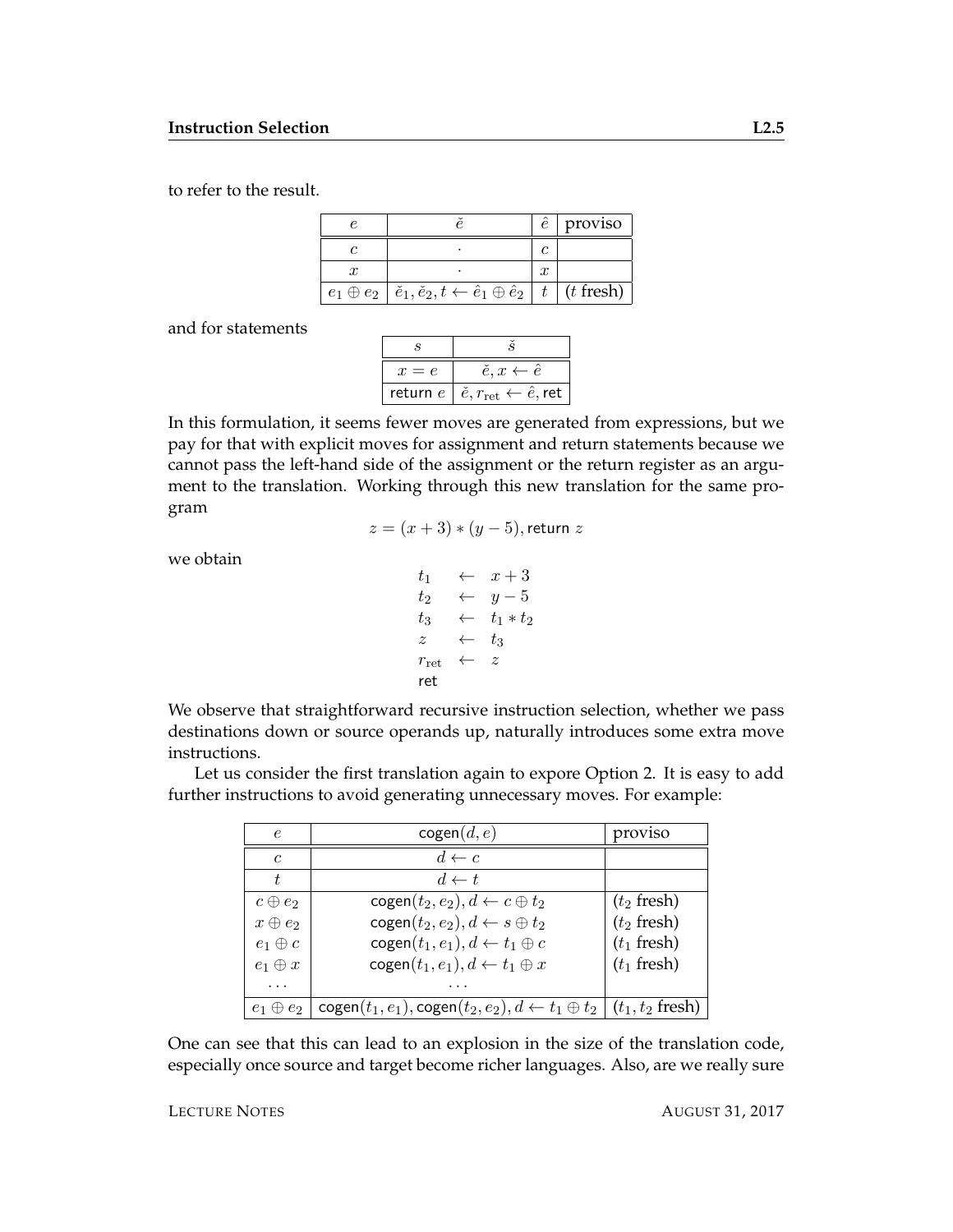to refer to the result.

|  |                                                                                                                       |  | proviso |
|--|-----------------------------------------------------------------------------------------------------------------------|--|---------|
|  |                                                                                                                       |  |         |
|  |                                                                                                                       |  |         |
|  | $e_1 \oplus e_2 \mid \check{e}_1, \check{e}_2, t \leftarrow \hat{e}_1 \oplus \hat{e}_2 \mid t \mid (t \text{ fresh})$ |  |         |

and for statements

| $x=e$      | $\check{e}, x \leftarrow \hat{e}$                           |  |
|------------|-------------------------------------------------------------|--|
| return $e$ | $\vert \v{e}, r_{\rm ret} \leftarrow \hat{e}, \textsf{ret}$ |  |

In this formulation, it seems fewer moves are generated from expressions, but we pay for that with explicit moves for assignment and return statements because we cannot pass the left-hand side of the assignment or the return register as an argument to the translation. Working through this new translation for the same program

$$
z = (x+3)*(y-5)
$$
, return z

we obtain

$$
\begin{array}{rcl}\nt_1 & \leftarrow & x+3 \\
t_2 & \leftarrow & y-5 \\
t_3 & \leftarrow & t_1 * t_2 \\
z & \leftarrow & t_3 \\
r_{\text{ret}} & \leftarrow & z \\
\text{ret}\n\end{array}
$$

We observe that straightforward recursive instruction selection, whether we pass destinations down or source operands up, naturally introduces some extra move instructions.

Let us consider the first translation again to expore Option 2. It is easy to add further instructions to avoid generating unnecessary moves. For example:

| $\epsilon$     | cogen(d, e)                                                                                           | proviso       |
|----------------|-------------------------------------------------------------------------------------------------------|---------------|
| $\mathfrak{c}$ | $d \leftarrow c$                                                                                      |               |
| t,             | $d \leftarrow t$                                                                                      |               |
| $c \oplus e_2$ | $cogen(t_2, e_2), d \leftarrow c \oplus t_2$                                                          | $(t_2$ fresh) |
| $x \oplus e_2$ | $cogen(t_2, e_2), d \leftarrow s \oplus t_2$                                                          | $(t_2$ fresh) |
| $e_1 \oplus c$ | $cogen(t_1, e_1), d \leftarrow t_1 \oplus c$                                                          | $(t_1$ fresh) |
| $e_1 \oplus x$ | $cogen(t_1, e_1), d \leftarrow t_1 \oplus x$                                                          | $(t_1$ fresh) |
|                |                                                                                                       |               |
| e <sub>2</sub> | cogen $(t_1, e_1)$ , cogen $(t_2, e_2)$ , $d \leftarrow t_1 \oplus t_2 \mid (t_1, t_2 \text{ fresh})$ |               |

One can see that this can lead to an explosion in the size of the translation code, especially once source and target become richer languages. Also, are we really sure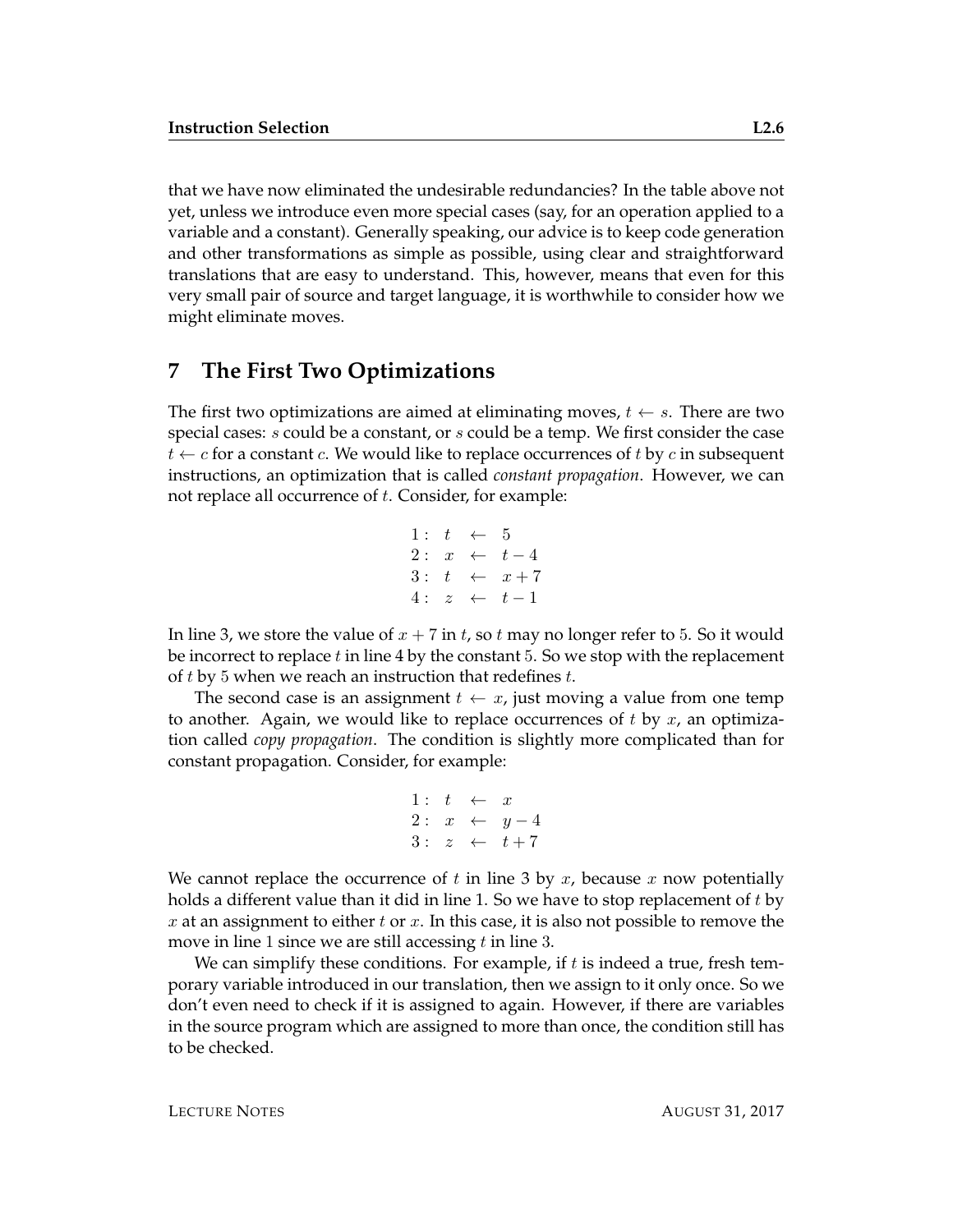that we have now eliminated the undesirable redundancies? In the table above not yet, unless we introduce even more special cases (say, for an operation applied to a variable and a constant). Generally speaking, our advice is to keep code generation and other transformations as simple as possible, using clear and straightforward translations that are easy to understand. This, however, means that even for this very small pair of source and target language, it is worthwhile to consider how we might eliminate moves.

#### **7 The First Two Optimizations**

The first two optimizations are aimed at eliminating moves,  $t \leftarrow s$ . There are two special cases: *s* could be a constant, or *s* could be a temp. We first consider the case  $t \leftarrow c$  for a constant c. We would like to replace occurrences of t by c in subsequent instructions, an optimization that is called *constant propagation*. However, we can not replace all occurrence of  $t$ . Consider, for example:

1: 
$$
t \leftarrow 5
$$
  
\n2:  $x \leftarrow t-4$   
\n3:  $t \leftarrow x+7$   
\n4:  $z \leftarrow t-1$ 

In line 3, we store the value of  $x + 7$  in t, so t may no longer refer to 5. So it would be incorrect to replace  $t$  in line 4 by the constant 5. So we stop with the replacement of t by 5 when we reach an instruction that redefines t.

The second case is an assignment  $t \leftarrow x$ , just moving a value from one temp to another. Again, we would like to replace occurrences of t by  $x$ , an optimization called *copy propagation*. The condition is slightly more complicated than for constant propagation. Consider, for example:

1: 
$$
t \leftarrow x
$$
  
\n2:  $x \leftarrow y-4$   
\n3:  $z \leftarrow t+7$ 

We cannot replace the occurrence of t in line 3 by  $x$ , because  $x$  now potentially holds a different value than it did in line 1. So we have to stop replacement of  $t$  by x at an assignment to either t or x. In this case, it is also not possible to remove the move in line 1 since we are still accessing  $t$  in line 3.

We can simplify these conditions. For example, if  $t$  is indeed a true, fresh temporary variable introduced in our translation, then we assign to it only once. So we don't even need to check if it is assigned to again. However, if there are variables in the source program which are assigned to more than once, the condition still has to be checked.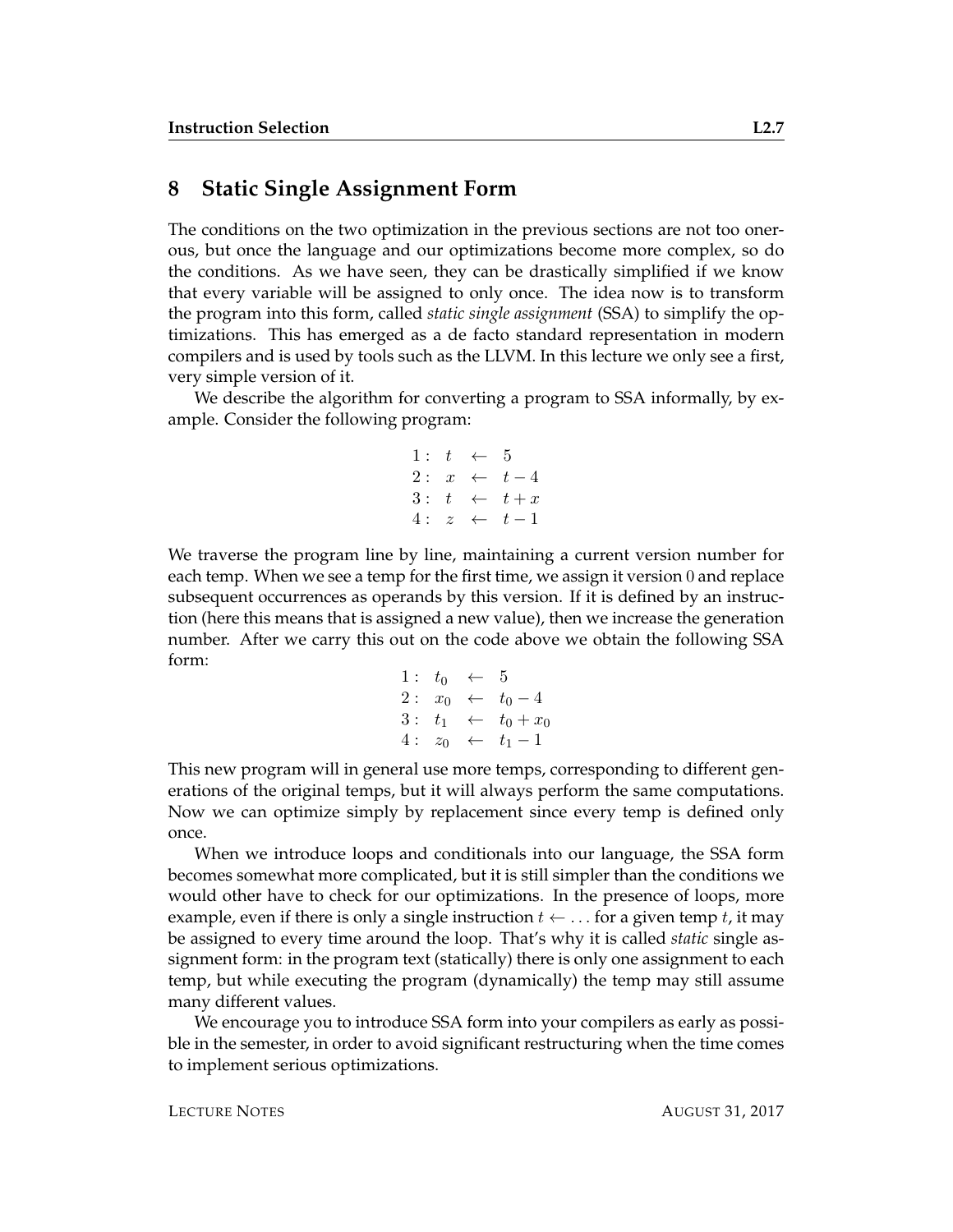#### **8 Static Single Assignment Form**

The conditions on the two optimization in the previous sections are not too onerous, but once the language and our optimizations become more complex, so do the conditions. As we have seen, they can be drastically simplified if we know that every variable will be assigned to only once. The idea now is to transform the program into this form, called *static single assignment* (SSA) to simplify the optimizations. This has emerged as a de facto standard representation in modern compilers and is used by tools such as the LLVM. In this lecture we only see a first, very simple version of it.

We describe the algorithm for converting a program to SSA informally, by example. Consider the following program:

1: 
$$
t \leftarrow 5
$$
  
\n2:  $x \leftarrow t-4$   
\n3:  $t \leftarrow t+x$   
\n4:  $z \leftarrow t-1$ 

We traverse the program line by line, maintaining a current version number for each temp. When we see a temp for the first time, we assign it version 0 and replace subsequent occurrences as operands by this version. If it is defined by an instruction (here this means that is assigned a new value), then we increase the generation number. After we carry this out on the code above we obtain the following SSA form:

1: 
$$
t_0 \leftarrow 5
$$
  
\n2:  $x_0 \leftarrow t_0 - 4$   
\n3:  $t_1 \leftarrow t_0 + x_0$   
\n4:  $z_0 \leftarrow t_1 - 1$ 

This new program will in general use more temps, corresponding to different generations of the original temps, but it will always perform the same computations. Now we can optimize simply by replacement since every temp is defined only once.

When we introduce loops and conditionals into our language, the SSA form becomes somewhat more complicated, but it is still simpler than the conditions we would other have to check for our optimizations. In the presence of loops, more example, even if there is only a single instruction  $t \leftarrow \ldots$  for a given temp t, it may be assigned to every time around the loop. That's why it is called *static* single assignment form: in the program text (statically) there is only one assignment to each temp, but while executing the program (dynamically) the temp may still assume many different values.

We encourage you to introduce SSA form into your compilers as early as possible in the semester, in order to avoid significant restructuring when the time comes to implement serious optimizations.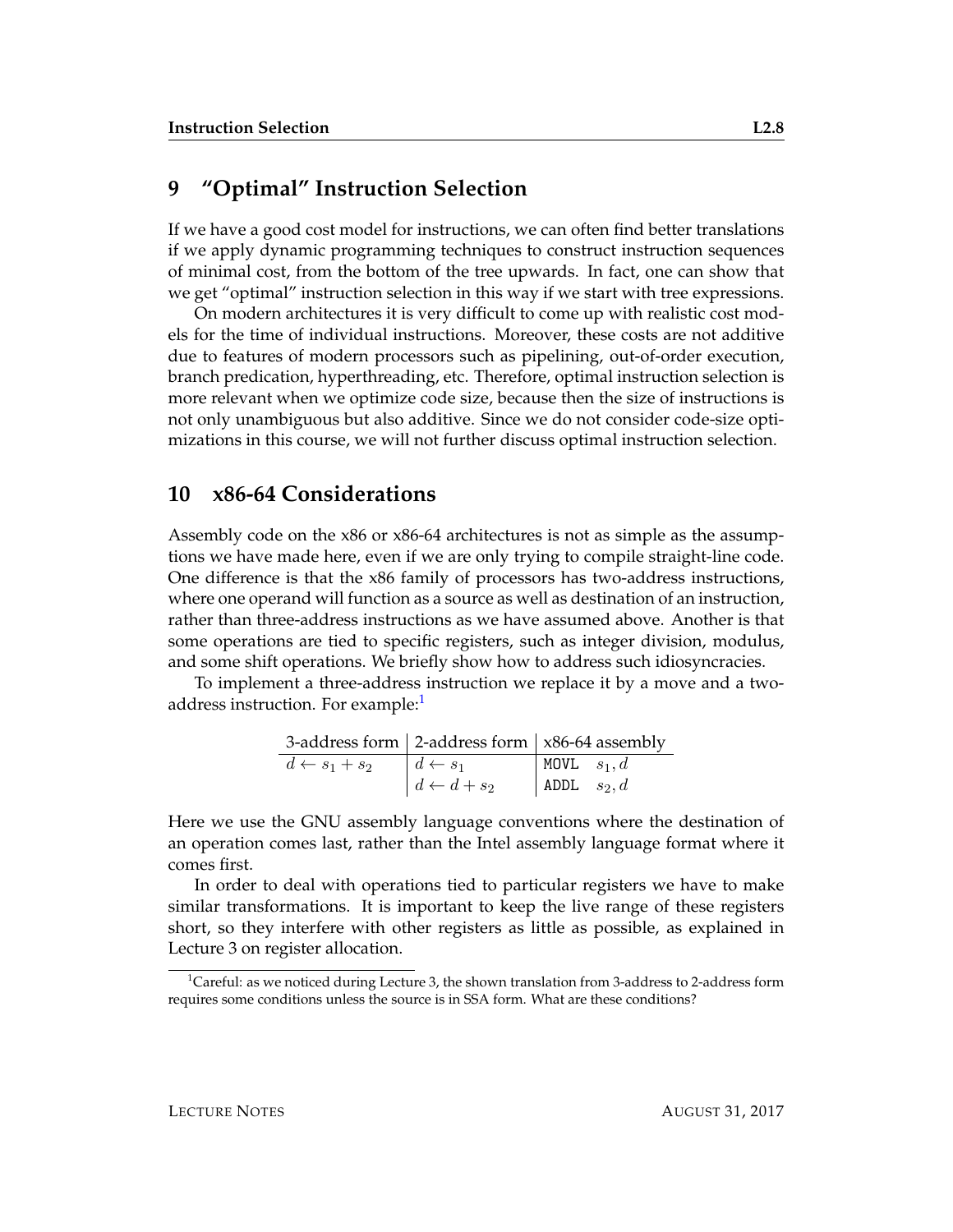#### **9 "Optimal" Instruction Selection**

If we have a good cost model for instructions, we can often find better translations if we apply dynamic programming techniques to construct instruction sequences of minimal cost, from the bottom of the tree upwards. In fact, one can show that we get "optimal" instruction selection in this way if we start with tree expressions.

On modern architectures it is very difficult to come up with realistic cost models for the time of individual instructions. Moreover, these costs are not additive due to features of modern processors such as pipelining, out-of-order execution, branch predication, hyperthreading, etc. Therefore, optimal instruction selection is more relevant when we optimize code size, because then the size of instructions is not only unambiguous but also additive. Since we do not consider code-size optimizations in this course, we will not further discuss optimal instruction selection.

#### **10 x86-64 Considerations**

Assembly code on the x86 or x86-64 architectures is not as simple as the assumptions we have made here, even if we are only trying to compile straight-line code. One difference is that the x86 family of processors has two-address instructions, where one operand will function as a source as well as destination of an instruction, rather than three-address instructions as we have assumed above. Another is that some operations are tied to specific registers, such as integer division, modulus, and some shift operations. We briefly show how to address such idiosyncracies.

To implement a three-address instruction we replace it by a move and a twoaddress instruction. For example:

|                          |                              | 3-address form $\vert$ 2-address form $\vert$ x86-64 assembly |
|--------------------------|------------------------------|---------------------------------------------------------------|
| $d \leftarrow s_1 + s_2$ | $\mid d \leftarrow s_1$      | MOVL $s_1, d$                                                 |
|                          | $\vert d \leftarrow d + s_2$ | ADDL $s_2, d$                                                 |

Here we use the GNU assembly language conventions where the destination of an operation comes last, rather than the Intel assembly language format where it comes first.

In order to deal with operations tied to particular registers we have to make similar transformations. It is important to keep the live range of these registers short, so they interfere with other registers as little as possible, as explained in Lecture 3 on register allocation.

<span id="page-7-0"></span><sup>&</sup>lt;sup>1</sup>Careful: as we noticed during Lecture 3, the shown translation from 3-address to 2-address form requires some conditions unless the source is in SSA form. What are these conditions?